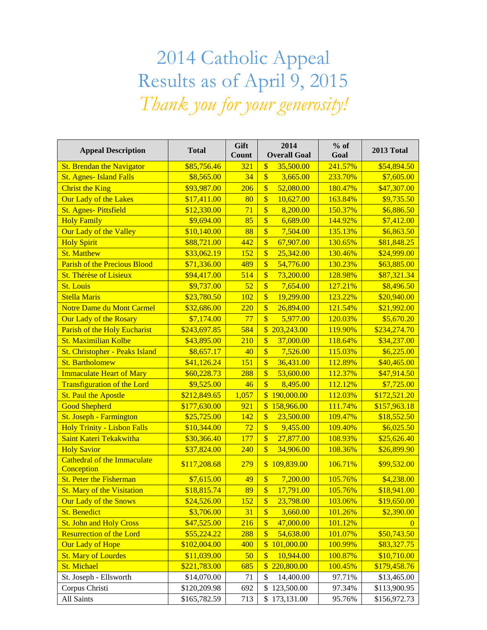## 2014 Catholic Appeal Results as of April 9, 2015 *Thank you for your generosity!*

| <b>Appeal Description</b>                 | <b>Total</b> | Gift<br>Count    | 2014<br><b>Overall Goal</b>           | $%$ of<br>Goal | 2013 Total   |
|-------------------------------------------|--------------|------------------|---------------------------------------|----------------|--------------|
| <b>St. Brendan the Navigator</b>          | \$85,756.46  | 321              | \$<br>35,500.00                       | 241.57%        | \$54,894.50  |
| <b>St. Agnes-Island Falls</b>             | \$8,565.00   | 34               | $\overline{\mathbb{S}}$<br>3,665.00   | 233.70%        | \$7,605.00   |
| <b>Christ the King</b>                    | \$93,987.00  | 206              | \$<br>52,080.00                       | 180.47%        | \$47,307.00  |
| <b>Our Lady of the Lakes</b>              | \$17,411.00  | 80               | \$<br>10,627.00                       | 163.84%        | \$9,735.50   |
| <b>St. Agnes-Pittsfield</b>               | \$12,330.00  | 71               | $\overline{\mathbb{S}}$<br>8,200.00   | 150.37%        | \$6,886.50   |
| <b>Holy Family</b>                        | \$9,694.00   | 85               | $\overline{\$}$<br>6,689.00           | 144.92%        | \$7,412.00   |
| <b>Our Lady of the Valley</b>             | \$10,140.00  | 88               | $\overline{\$}$<br>7,504.00           | 135.13%        | \$6,863.50   |
| <b>Holy Spirit</b>                        | \$88,721.00  | 442              | $\sqrt{\frac{1}{2}}$<br>67,907.00     | 130.65%        | \$81,848.25  |
| <b>St. Matthew</b>                        | \$33,062.19  | 152              | $\overline{\mathbb{S}}$<br>25,342.00  | 130.46%        | \$24,999.00  |
| <b>Parish of the Precious Blood</b>       | \$71,336.00  | 489              | \$<br>54,776.00                       | 130.23%        | \$63,885.00  |
| <b>St. Thérèse of Lisieux</b>             | \$94,417.00  | 514              | \$<br>73,200.00                       | 128.98%        | \$87,321.34  |
| <b>St. Louis</b>                          | \$9,737.00   | 52               | $\overline{\mathbb{S}}$<br>7,654.00   | 127.21%        | \$8,496.50   |
| <b>Stella Maris</b>                       | \$23,780.50  | 102              | $\overline{\$}$<br>19,299.00          | 123.22%        | \$20,940.00  |
| <b>Notre Dame du Mont Carmel</b>          | \$32,686.00  | 220              | $\overline{\$}$<br>26,894.00          | 121.54%        | \$21,992.00  |
| Our Lady of the Rosary                    | \$7,174.00   | 77               | $\overline{\mathbb{S}}$<br>5,977.00   | 120.03%        | \$5,670.20   |
| Parish of the Holy Eucharist              | \$243,697.85 | 584              | $\overline{\mathbb{S}}$<br>203,243.00 | 119.90%        | \$234,274.70 |
| St. Maximilian Kolbe                      | \$43,895.00  | $\overline{210}$ | \$<br>37,000.00                       | 118.64%        | \$34,237.00  |
| St. Christopher - Peaks Island            | \$8,657.17   | 40               | $\overline{\mathbb{S}}$<br>7,526.00   | 115.03%        | \$6,225.00   |
| <b>St. Bartholomew</b>                    | \$41,126.24  | 151              | $\overline{\mathbb{S}}$<br>36,431.00  | 112.89%        | \$40,465.00  |
| <b>Immaculate Heart of Mary</b>           | \$60,228.73  | 288              | $\overline{\$}$<br>53,600.00          | 112.37%        | \$47,914.50  |
| <b>Transfiguration of the Lord</b>        | \$9,525.00   | 46               | $\overline{\mathcal{S}}$<br>8,495.00  | 112.12%        | \$7,725.00   |
| <b>St. Paul the Apostle</b>               | \$212,849.65 | 1,057            | $\overline{\mathbb{S}}$<br>190,000.00 | 112.03%        | \$172,521.20 |
| <b>Good Shepherd</b>                      | \$177,630.00 | 921              | $\overline{\mathbb{S}}$<br>158,966.00 | 111.74%        | \$157,963.18 |
| St. Joseph - Farmington                   | \$25,725.00  | 142              | \$<br>23,500.00                       | 109.47%        | \$18,552.50  |
| <b>Holy Trinity - Lisbon Falls</b>        | \$10,344.00  | 72               | $\overline{\mathcal{S}}$<br>9,455.00  | 109.40%        | \$6,025.50   |
| Saint Kateri Tekakwitha                   | \$30,366.40  | 177              | $\overline{\mathbb{S}}$<br>27,877.00  | 108.93%        | \$25,626.40  |
| <b>Holy Savior</b>                        | \$37,824.00  | 240              | $\overline{\mathbb{S}}$<br>34,906.00  | 108.36%        | \$26,899.90  |
| Cathedral of the Immaculate<br>Conception | \$117,208.68 | 279              | \$109,839.00                          | 106.71%        | \$99,532.00  |
| <b>St. Peter the Fisherman</b>            | \$7,615.00   | 49               | $\sqrt{\frac{1}{2}}$<br>7,200.00      | 105.76%        | \$4,238.00   |
| <b>St. Mary of the Visitation</b>         | \$18,815.74  | 89               | $\overline{\mathbb{S}}$<br>17,791.00  | 105.76%        | \$18,941.00  |
| <b>Our Lady of the Snows</b>              | \$24,526.00  | 152              | $\boldsymbol{\$}$<br>23,798.00        | 103.06%        | \$19,650.00  |
| <b>St. Benedict</b>                       | \$3,706.00   | 31               | $\overline{\$}$<br>3,660.00           | 101.26%        | \$2,390.00   |
| <b>St. John and Holy Cross</b>            | \$47,525.00  | 216              | \$<br>47,000.00                       | 101.12%        | $\theta$     |
| <b>Resurrection of the Lord</b>           | \$55,224.22  | 288              | $\sqrt[6]{3}$<br>54,638.00            | 101.07%        | \$50,743.50  |
| <b>Our Lady of Hope</b>                   | \$102,004.00 | 400              | $\sqrt{\frac{2}{5}}$<br>101,000.00    | 100.99%        | \$83,327.75  |
| <b>St. Mary of Lourdes</b>                | \$11,039.00  | 50               | $\sqrt{\frac{1}{2}}$<br>10,944.00     | 100.87%        | \$10,710.00  |
| <b>St. Michael</b>                        | \$221,783.00 | 685              | \$220,800.00                          | 100.45%        | \$179,458.76 |
| St. Joseph - Ellsworth                    | \$14,070.00  | 71               | \$<br>14,400.00                       | 97.71%         | \$13,465.00  |
| Corpus Christi                            | \$120,209.98 | 692              | $\mathbb{S}$<br>123,500.00            | 97.34%         | \$113,900.95 |
| All Saints                                | \$165,782.59 | 713              | \$173,131.00                          | 95.76%         | \$156,972.73 |